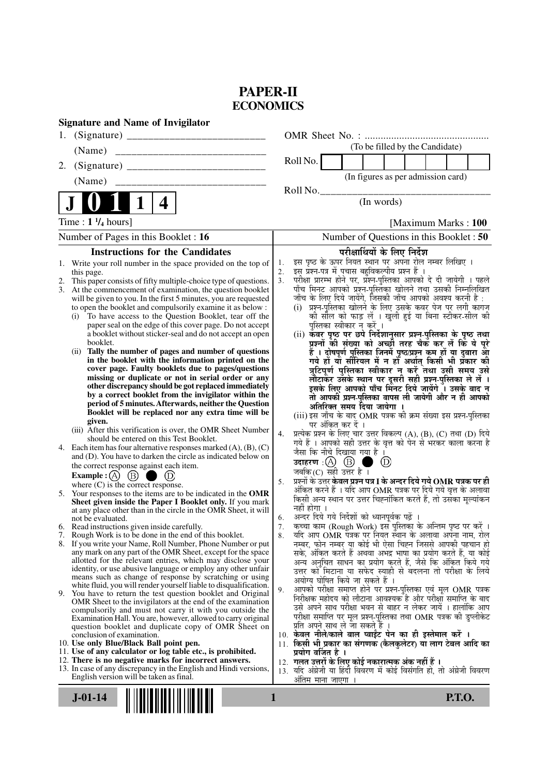# **PAPER-II ECONOMICS**

| <b>Signature and Name of Invigilator</b>                                                                                   |                                                                                                                                     |
|----------------------------------------------------------------------------------------------------------------------------|-------------------------------------------------------------------------------------------------------------------------------------|
| 1.                                                                                                                         |                                                                                                                                     |
| (Name)                                                                                                                     | (To be filled by the Candidate)                                                                                                     |
| 2.                                                                                                                         | Roll No.                                                                                                                            |
| (Name)                                                                                                                     | (In figures as per admission card)                                                                                                  |
|                                                                                                                            | Roll No.                                                                                                                            |
| 1<br>4                                                                                                                     | (In words)                                                                                                                          |
| Time : $1 \frac{1}{4}$ hours]                                                                                              | [Maximum Marks: 100]                                                                                                                |
| Number of Pages in this Booklet : 16                                                                                       | Number of Questions in this Booklet : 50                                                                                            |
| <b>Instructions for the Candidates</b>                                                                                     | परीक्षार्थियों के लिए निर्देश                                                                                                       |
| 1. Write your roll number in the space provided on the top of                                                              | इस पृष्ठ के ऊपर नियत स्थान पर अपना रोल नम्बर लिखिए ।<br>1.                                                                          |
| this page.<br>This paper consists of fifty multiple-choice type of questions.<br>2.                                        | इस प्रश्न-पत्र में पचास बहुविकल्पीय प्रश्न हैं ।<br>2.<br>3.                                                                        |
| 3. At the commencement of examination, the question booklet                                                                | .<br>परीक्षा प्रारम्भ होने पर, प्रश्न-पुस्तिका आपको दे दी जायेगी । पहले<br>पाँच मिनट आपको प्रश्न-पुस्तिका खोलने तथा उसकी निम्नलिखित |
| will be given to you. In the first 5 minutes, you are requested                                                            | जाँच के लिए दिये जायेंगे, जिसकी जाँच आपको अवश्य करनी है :                                                                           |
| to open the booklet and compulsorily examine it as below :<br>To have access to the Question Booklet, tear off the<br>(i)  | (i) प्रश्न-पुस्तिका खोलने के लिए उसके कवर पेज पर लगी कागज<br>की सील को फाड़ लें । खुली हुई या बिना स्टीकर-सील की                    |
| paper seal on the edge of this cover page. Do not accept                                                                   | पुस्तिका स्वीकार न करें ।                                                                                                           |
| a booklet without sticker-seal and do not accept an open                                                                   | (ii) कवर पृष्ठ पर छपे निर्देशानुसार प्रश्न-पुस्तिका के पृष्ठ तथा                                                                    |
| booklet.<br>Tally the number of pages and number of questions<br>(ii)                                                      | प्रश्नों की संख्या को अच्छों तरह चैक कर लें कि ये पूरे                                                                              |
| in the booklet with the information printed on the                                                                         | हैं । दोषपूर्ण पुस्तिका जिनमें पृष्ठ/प्रश्न कम हों या दुबारा आ<br>गये हो या सीरियल में न हो अर्थात् किसी भी प्रकार की               |
| cover page. Faulty booklets due to pages/questions                                                                         | त्रुटिपूर्ण पुस्तिका स्वीकार न करें तथा उसी समय उसे                                                                                 |
| missing or duplicate or not in serial order or any<br>other discrepancy should be got replaced immediately                 | लौटाकेंट्र उसके स्थान पर दूसरी सही प्रश्न्-पुस्तिका ले लें ।<br>इसके लिए आपको पाँच मिनट दिये जायेंगे । उसके बाद न                   |
| by a correct booklet from the invigilator within the                                                                       | तो आपकी प्रश्न-पुस्तिका वापस ली जायेगी और न ही आपको                                                                                 |
| period of 5 minutes. Afterwards, neither the Question                                                                      | अतिरिक्त समय दिया जायेगा ।                                                                                                          |
| Booklet will be replaced nor any extra time will be<br>given.                                                              | (iii) इस जाँच के बाद OMR पत्रक की क्रम संख्या इस प्रश्न-पुस्तिका                                                                    |
| (iii) After this verification is over, the OMR Sheet Number                                                                | पर अंकित कर दें ।<br>प्रत्येक प्रश्न के लिए चार उत्तर विकल्प (A), (B), (C) तथा (D) दिये<br>4.                                       |
| should be entered on this Test Booklet.<br>4. Each item has four alternative responses marked $(A)$ , $(B)$ , $(C)$        | गये हैं । आपको सही उत्तर के वृत्त को पेन से भरकर काला करना है                                                                       |
| and (D). You have to darken the circle as indicated below on                                                               | जैसा कि नीचे दिखाया गया है ।                                                                                                        |
| the correct response against each item.                                                                                    | उदाहरण $\cdot$ $\textcircled{A}$ $\textcircled{B}$ ।<br>$\circled{D}$<br>जबकि (C) सही उत्तर है $\overline{1}$                       |
| Example : (A) $(B)$                                                                                                        | प्रश्नों के उत्तर <b>केवल प्रश्न पत्र I के अन्दर दिये गये OMR पत्रक पर ही</b><br>5.                                                 |
| where $(C)$ is the correct response.<br>5. Your responses to the items are to be indicated in the OMR                      | अंकित करने हैं । यदि आप OMR पत्रक पर दिये गये वृत्त के अलावा                                                                        |
| Sheet given inside the Paper I Booklet only. If you mark                                                                   | किसी अन्य स्थान पर उत्तर चिह्नांकित करते हैं, तो उसका मूल्यांकन<br>नहीं होगा ।                                                      |
| at any place other than in the circle in the OMR Sheet, it will<br>not be evaluated.                                       | अन्दर दिये गये निर्देशों को ध्यानपूर्वक पढ़ें ।<br>6.                                                                               |
| 6. Read instructions given inside carefully.                                                                               | कच्चा काम (Rough Work) इस पुस्तिका के अन्तिम पृष्ठ पर करें ।<br>7.                                                                  |
| Rough Work is to be done in the end of this booklet.                                                                       | यदि आप OMR पत्रक पर नियत स्थान के अलावा अपना नाम, रोल<br>8.                                                                         |
| 8. If you write your Name, Roll Number, Phone Number or put<br>any mark on any part of the OMR Sheet, except for the space | नम्बर, फोन नम्बर या कोई भी ऐसा चिह्न जिससे आपकी पहचान हो<br>सके, अंकित करते हैं अथवा अभद्र भाषा का प्रयोग करते हैं, या कोई          |
| allotted for the relevant entries, which may disclose your                                                                 | अन्य अनुचित साधन का प्रयोग करते हैं, जैसे कि अंकित किये गये                                                                         |
| identity, or use abusive language or employ any other unfair<br>means such as change of response by scratching or using    | उत्तर को मिटाना या सफेद स्याही से बदलना तो परीक्षा के लिये                                                                          |
| white fluid, you will render yourself liable to disqualification.                                                          | अयोग्य घोषित किये जा सकते हैं ।<br>आपको परीक्षा समाप्त होने पर प्रश्न-पुस्तिका एवं मूल OMR पत्रक                                    |
| 9. You have to return the test question booklet and Original                                                               | 9.<br>निरीक्षक महोदय को लौटाना आवश्यक है और परीक्षा समाप्ति के बाद                                                                  |
| OMR Sheet to the invigilators at the end of the examination<br>compulsorily and must not carry it with you outside the     | उसे अपने साथ परीक्षा भवन से बाहर न लेकर जायें । हालांकि आप                                                                          |
| Examination Hall. You are, however, allowed to carry original                                                              | परीक्षा समाप्ति पर मूल प्रश्न-पुस्तिका तथा OMR पत्रक की डुप्लीकेट                                                                   |
| question booklet and duplicate copy of OMR Sheet on<br>conclusion of examination.                                          | प्रति अपने साथ ले जा सकते हैं ।<br>10. केवल नीले/काले बाल प्वाईंट पेन का ही इस्तेमाल करें ।                                         |
| 10. Use only Blue/Black Ball point pen.                                                                                    | 11. किसी भी प्रकार का संगणक (कैलकुलेटर) या लाग टेबल आदि का                                                                          |
| 11. Use of any calculator or log table etc., is prohibited.                                                                | प्रयोग वर्जित है ।                                                                                                                  |
| 12. There is no negative marks for incorrect answers.<br>13. In case of any discrepancy in the English and Hindi versions, | 12. गलत उत्तरों के लिए कोई नकारात्मक अंक नहीं हैं ।<br>13. यदि अंग्रेजी या हिंदी विवरण में कोई विसंगति हो, तो अंग्रेजी विवरण        |
| English version will be taken as final.                                                                                    | ओतम माना जाएगा ।                                                                                                                    |
|                                                                                                                            |                                                                                                                                     |
| $J-01-14$                                                                                                                  | <b>P.T.O.</b><br>1                                                                                                                  |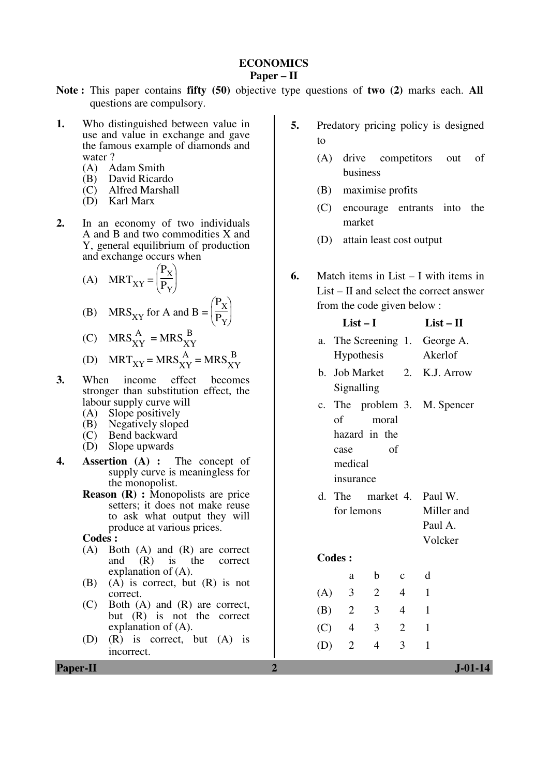#### **ECONOMICS Paper – II**

- **Note :** This paper contains **fifty (50)** objective type questions of **two (2)** marks each. **All** questions are compulsory.
- **1.** Who distinguished between value in use and value in exchange and gave the famous example of diamonds and water ?<br>(A) A
	- (A) Adam Smith<br>(B) David Ricard
	- (B) David Ricardo<br>(C) Alfred Marshal
	- Alfred Marshall
	- (D) Karl Marx
- **2.** In an economy of two individuals A and B and two commodities X and Y, general equilibrium of production and exchange occurs when
- (A) MRT<sub>XY</sub> = ſ J  $\frac{P_X}{P}$  $P_{Y}$

(B) 
$$
MRS_{XY} \text{ for A and } B = \left(\frac{P_X}{P_Y}\right)
$$

(C) 
$$
MRS_{XY}^{A} = MRS_{XY}^{B}
$$

(D) 
$$
MRT_{XY} = MRS_{XY}^{A} = MRS_{XY}^{B}
$$

 $\cdot \vert$ 

- **3.** When income effect becomes stronger than substitution effect, the labour supply curve will
	- (A) Slope positively
	- (B) Negatively sloped
	- (C) Bend backward
	- (D) Slope upwards
- **4. Assertion (A) :** The concept of supply curve is meaningless for the monopolist.
	- **Reason (R) :** Monopolists are price setters; it does not make reuse to ask what output they will produce at various prices.
	- **Codes :**
	- (A) Both (A) and (R) are correct<br>and  $(R)$  is the correct correct explanation of (A).
	- (B) (A) is correct, but (R) is not correct.
	- (C) Both (A) and (R) are correct, but (R) is not the correct explanation of (A).
	- (D) (R) is correct, but (A) is incorrect.
- **5.** Predatory pricing policy is designed to
	- (A) drive competitors out of business
	- (B) maximise profits
	- (C) encourage entrants into the market
	- (D) attain least cost output
- **6.** Match items in List I with items in List – II and select the correct answer from the code given below :

| $List-I$ |                              |                           |                | $List - II$                                                  |
|----------|------------------------------|---------------------------|----------------|--------------------------------------------------------------|
|          |                              | Hypothesis                |                | a. The Screening 1. George A.<br>Akerlof                     |
|          |                              | Signalling                |                | b. Job Market 2. K.J. Arrow                                  |
|          | case<br>medical<br>insurance | of moral<br>hazard in the | of             | c. The problem 3. M. Spencer                                 |
|          |                              | for lemons                |                | d. The market 4. Paul W.<br>Miller and<br>Paul A.<br>Volcker |
|          | <b>Codes:</b>                |                           |                |                                                              |
|          | a                            | $\mathbf b$               | $\mathbf{C}$   | $\mathbf d$                                                  |
|          | (A) 3                        | $\overline{2}$            | 4              | 1                                                            |
|          | (B) 2                        | $\overline{\mathbf{3}}$   | $\overline{4}$ | 1                                                            |
|          | $(C)$ 4                      | 3                         | $\overline{c}$ | 1                                                            |
| (D)      | $\overline{2}$               | 4                         | 3              | 1                                                            |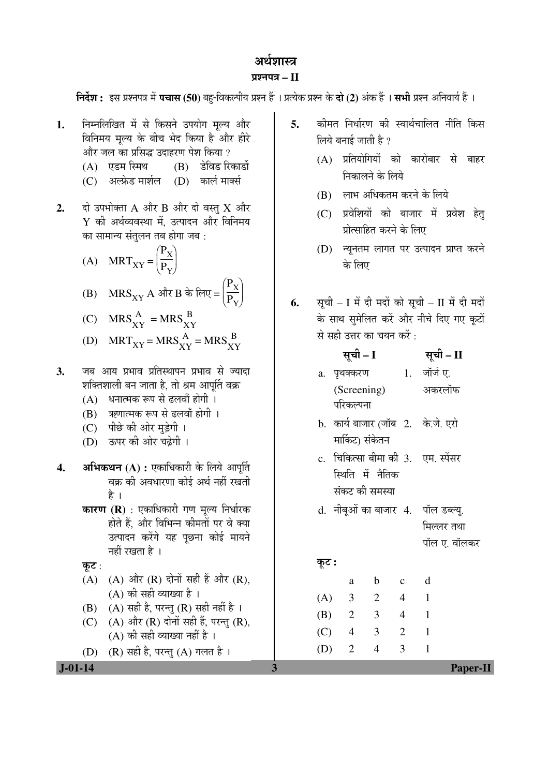# अर्थशास्त्र

## प्रश्नपत्र $-I$

निर्देश : इस प्रश्नपत्र में पचास (50) बह-विकल्पीय प्रश्न हैं । प्रत्येक प्रश्न के दो (2) अंक हैं । सभी प्रश्न अनिवार्य हैं ।

- निम्नलिखित में से किसने उपयोग मल्य और  $\mathbf{1}$ विनिमय मल्य के बीच भेद किया है और हीरे और जल का प्रसिद्ध उदाहरण पेश किया ?
	- (A) एडम स्मिथ (B) डेविड रिकार्डो
	- (C) अल्फ्रेड मार्शल (D) कार्ल मार्क्स
- दो उपभोक्ता A और B और दो वस्त  $X$  और  $2.$  $Y$  की अर्थव्यवस्था में, उत्पादन और विनिमय का सामान्य संतुलन तब होगा जब :
	- (A)  $MRT_{XY} = \left(\frac{P_X}{P_Y}\right)$ (B)  $MRS_{XY} A$  और B के लिए =  $\left(\frac{P_X}{P_Y}\right)$
	- (C)  $MRS_{XY}^{A} = MRS_{XY}^{B}$
	- (D)  $MRT_{XY} = MRS_{XY}^{A} = MRS_{XY}^{B}$
- जब आय प्रभाव प्रतिस्थापन प्रभाव से ज्यादा  $3.$ शक्तिशाली बन जाता है. तो श्रम आपर्ति वक्र
	- (A) धनात्मक रूप से ढलवाँ होगी ।
	- (B) ऋणात्मक रूप से ढलवाँ होगी ।
	- (C) पीछे की ओर मुड़ेगी ।
	- (D) ऊपर की ओर चढ़ेगी ।
- अभिकथन (A) : एकाधिकारी के लिये आपूर्ति  $\overline{4}$ . वक्र की अवधारणा कोई अर्थ नहीं रखती है ।
	- **कारण (R)** : एकाधिकारी गण मल्य निर्धारक होते हैं, और विभिन्न कीमतों पर वे क्या उत्पादन करेंगे यह पूछना कोई मायने नहीं रखता है ।
	- कूट:

 $J - 01 - 14$ 

- $(A)$   $(A)$  और  $(R)$  दोनों सही हैं और  $(R)$ . (A) की सही व्याख्या है ।
- (B) (A) सही है, परन्तु (R) सही नहीं है।
- (C) (A) और (R) दोनों सही हैं, परन्तु (R), (A) की सही व्याख्या नहीं है ।

 $\mathbf{3}$ 

 $(R)$  सही है, परन्तु  $(A)$  गलत है।  $(D)$ 

कीमत निर्धारण की स्वार्थचालित नीति किस  $\overline{5}$ . लिये बनाई जाती है ?

- (A) प्रतियोगियों को कारोबार से बाहर निकालने के लिये
- (B) लाभ अधिकतम करने के लिये
- (C) प्रवेशियों को बाजार में प्रवेश हेत् प्रोत्साहित करने के लिए
- (D) न्यूनतम लागत पर उत्पादन प्राप्त करने के लिए
- सूची I में दी मदों को सूची II में दी मदों 6. के साथ समेलित करें और नीचे दिए गए कटों से सही उत्तर का चयन करें :

|       |         | सूची – I                   |                         |                | सूची – II                              |
|-------|---------|----------------------------|-------------------------|----------------|----------------------------------------|
|       |         | a. पृथक्करण                |                         |                | 1. जॉर्ज ए.                            |
|       |         | (Screening)                |                         |                | अकरलॉफ                                 |
|       |         | परिकल्पना                  |                         |                |                                        |
|       |         |                            |                         |                | b.  कार्य बाजार (जॉब  2.   के.जे. एरो  |
|       |         | मार्किट) संकेतन            |                         |                |                                        |
|       |         |                            |                         |                | c.  चिकित्सा बीमा की 3.   एम. स्पेंसर  |
|       |         |                            | स्थिति में नैतिक        |                |                                        |
|       |         |                            | संकट की समस्या          |                |                                        |
|       |         |                            |                         |                | d.  नीबूओं का बाजार  4.   पॉल डब्ल्यू. |
|       |         |                            |                         |                | मिल्लर तथा                             |
|       |         |                            |                         |                | पॉल ए. वॉलकर                           |
| कूट : |         |                            |                         |                |                                        |
|       |         | a                          | b                       | $\mathbf c$    | d                                      |
| (A)   |         | $\overline{3}$             | $\overline{2}$          | 4              | $\blacksquare$                         |
| (B)   |         | $\overline{\phantom{0}}^2$ | $\overline{\mathbf{3}}$ | 4              | $\blacksquare$                         |
|       | $(C)$ 4 |                            | 3                       | $\overline{2}$ | 1                                      |
| (D)   |         | $\overline{2}$             | 4                       | 3              | 1                                      |
|       |         |                            |                         |                | <b>Paper-II</b>                        |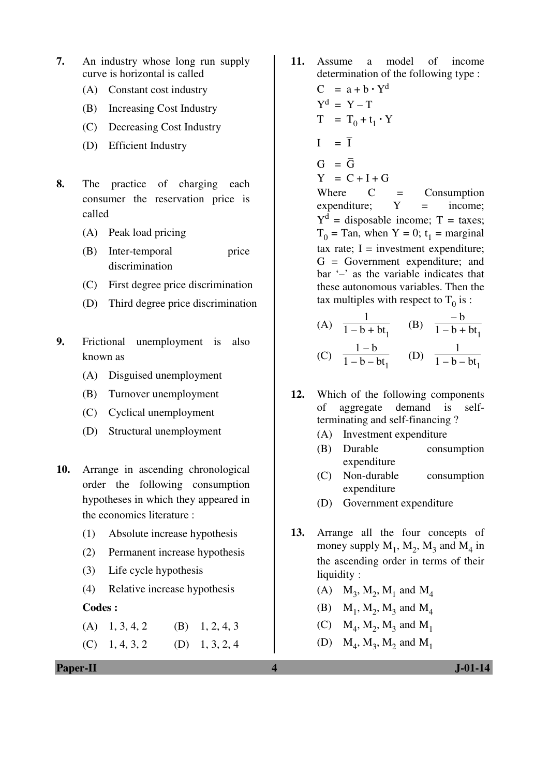- **7.** An industry whose long run supply curve is horizontal is called
	- (A) Constant cost industry
	- (B) Increasing Cost Industry
	- (C) Decreasing Cost Industry
	- (D) Efficient Industry
- **8.** The practice of charging each consumer the reservation price is called
	- (A) Peak load pricing
	- (B) Inter-temporal price discrimination
	- (C) First degree price discrimination
	- (D) Third degree price discrimination
- **9.** Frictional unemployment is also known as
	- (A) Disguised unemployment
	- (B) Turnover unemployment
	- (C) Cyclical unemployment
	- (D) Structural unemployment
- **10.** Arrange in ascending chronological order the following consumption hypotheses in which they appeared in the economics literature :
	- (1) Absolute increase hypothesis
	- (2) Permanent increase hypothesis
	- (3) Life cycle hypothesis
	- (4) Relative increase hypothesis

#### **Codes :**

- $(A)$  1, 3, 4, 2 (B) 1, 2, 4, 3
- $(C)$  1, 4, 3, 2 (D) 1, 3, 2, 4
- **Paper-II 1.01-14**
- **11.** Assume a model of income determination of the following type :  $C = a + b \cdot Y^d$
- $Y^d = Y T$  $T = T_0 + t_1 \cdot Y$
- $I = \overline{I}$  $G = \overline{G}$ 
	- $Y = C + I + G$

Where  $C =$  Consumption  $expenditure: Y = income:$  $Y<sup>d</sup>$  = disposable income; T = taxes;  $T_0$  = Tan, when Y = 0; t<sub>1</sub> = marginal tax rate;  $I =$  investment expenditure; G = Government expenditure; and bar '–' as the variable indicates that these autonomous variables. Then the tax multiples with respect to  $T_0$  is :

- (A) 1  $\frac{1}{1 - b + bt_1}$  (B) – b  $1 - b + bt_1$  $1 - b$ 1
- (C)  $\frac{1}{1-b-bt_1}$  (D)  $1 - b - bt_1$
- **12.** Which of the following components of aggregate demand is selfterminating and self-financing ?
	- (A) Investment expenditure
	- (B) Durable consumption expenditure
	- (C) Non-durable consumption expenditure
	- (D) Government expenditure
- **13.** Arrange all the four concepts of money supply  $M_1$ ,  $M_2$ ,  $M_3$  and  $M_4$  in the ascending order in terms of their liquidity :
- (A)  $M_3$ ,  $M_2$ ,  $M_1$  and  $M_4$
- (B)  $M_1, M_2, M_3$  and  $M_4$
- (C)  $M_4$ ,  $M_2$ ,  $M_3$  and  $M_1$
- (D)  $M_4$ ,  $M_3$ ,  $M_2$  and  $M_1$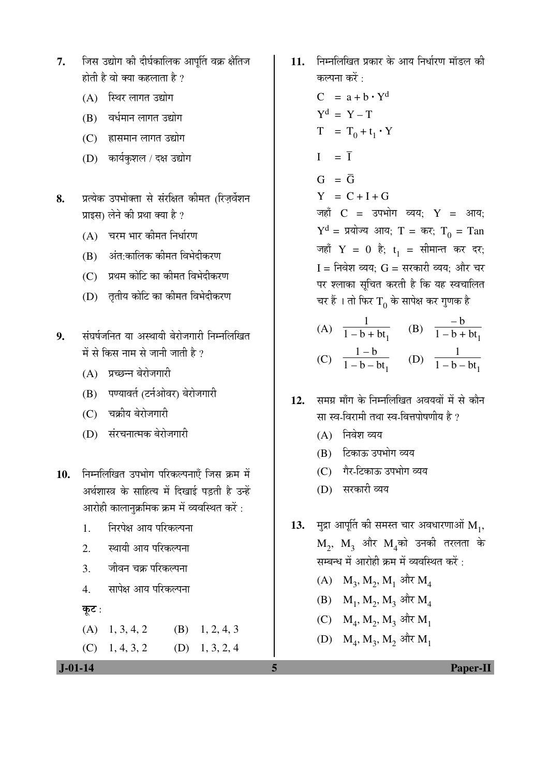- 7. जिस उद्योग की दीर्घकालिक आपर्ति वक्र क्षैतिज होती है वो क्या कहलाता है  $\overline{v}$ 
	- $(A)$  स्थिर लागत उद्योग
	- (B) वर्धमान लागत उद्योग
	- (C) हासमान लागत उद्योग
	- (D) कार्यकुशल / दक्ष उद्योग
- 8. <u>प्रत्येक उपभोक्ता से संरक्षित कीमत (रिजर्वेशन</u> प्राइस) लेने की प्रथा क्या है ?
	- (A) चरम भार कीमत निर्धारण
	- (B) अंत:कालिक कीमत विभेदीकरण
	- $(C)$  प्रथम कोटि का कीमत विभेदीकरण
	- (D) तृतीय कोटि का कीमत विभेदीकरण
- 9. संघर्षजनित या अस्थायी बेरोजगारी निम्नलिखित में से किस नाम से जानी जाती है  $\overline{v}$ 
	- (A) प्रच्छन्न बेरोजगारी
	- (B) पण्यावर्त (टर्नओवर) बेरोजगारी
	- (C) चक्रीय बेरोजगारी
	- (D) संरचनात्मक बेरोजगारी
- 10. **निम्नलिखित उपभोग परिकल्पनाएँ जिस क्र**म में अर्थशास्त्र के साहित्य में दिखाई पडती है उन्हें आरोही कालानुक्रमिक क्रम में व्यवस्थित करें :
	- 1. निरपेक्ष आय परिकल्पना
	- 2. स्थायी आय परिकल्पना
	- 3. जीवन चक्र परिकल्पना
	- 4. सापेक्ष आय परिकल्पना
	- कूट $:$

 $(A)$  1, 3, 4, 2 (B) 1, 2, 4, 3  $(C)$  1, 4, 3, 2 (D) 1, 3, 2, 4

11. निम्नलिखित प्रकार के आय निर्धारण मॉडल की कल्पना करें $\, \cdot \,$ 

 $C = a + b \cdot Y^d$  $Y^d = Y - T$  $T = T_0 + t_1 \cdot Y$  $I = \overline{I}$  $G = \overline{G}$  $Y = C + I + G$ जहाँ  $C = 3$ पभोग व्यय;  $Y = 3$ गय;  $Y<sup>d</sup> = \bar{y}$ योज्य आय; T = कर; T<sub>0</sub> = Tan जहाँ  $Y = 0$  है;  $t_1 = \pi$ सीमान्त कर दर;  $I = f$ निवेश व्यय:  $G = f$ सरकारी व्यय: और चर पर श्लाका सुचित करती है कि यह स्वचालित चर हैं । तो फिर  $\rm T^{}_0$  के सापेक्ष कर गुणक है

- (A) 1  $\frac{1}{1 - b + bt_1}$  (B) – b  $1 - b + bt_1$  (C)  $1 - b$  $\frac{1 - b}{1 - b - bt_1}$  (D) 1  $1 - b - bt_1$
- 12. समग्र माँग के निम्नलिखित अवयवों में से कौन सा स्व-विरामी तथा स्व-वित्तपोषणीय है ?
	- $(A)$  निवेश व्यय
	- (B) टिकाऊ उपभोग व्यय
	- $(C)$  गैर-टिकाऊ उपभोग व्यय
	- (D) सरकारी व्यय

**13.** मुद्रा आपूर्ति की समस्त चार अवधारणाओं  $\mathbf{M}_{1}$ ,  $\rm M_2,\ M_3$  और  $\rm M_4$ को उनकी तरलता के सम्बन्ध में आरोही क्रम में व्यवस्थित करें $\cdot$ 

- $(A)$   $M_3$ ,  $M_2$ ,  $M_1$  और  $M_4$
- $(B)$  M<sub>1</sub>, M<sub>2</sub>, M<sub>3</sub> और M<sub>4</sub>
- $(C)$   $M_4$ ,  $M_2$ ,  $M_3$  और  $M_1$
- $\rm(D) \quad M_4, M_3, M_2$  और  $\rm M_1$

 **J-01-14 5 Paper-II**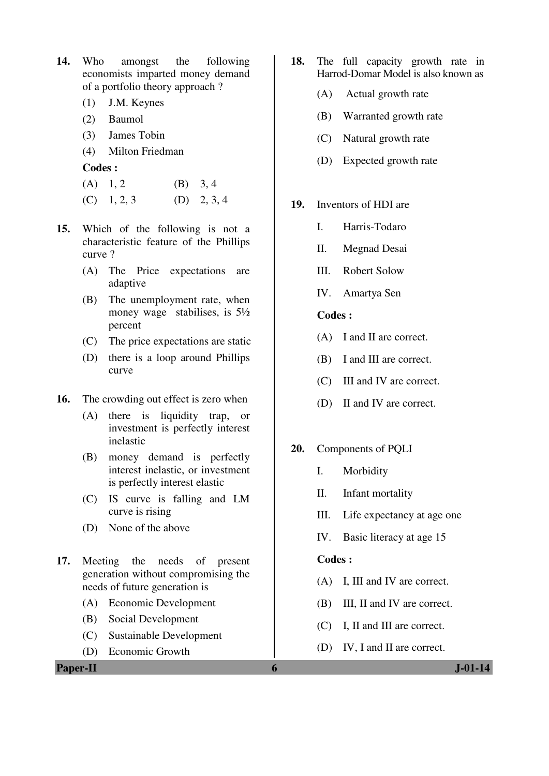- **14.** Who amongst the following economists imparted money demand of a portfolio theory approach ?
	- (1) J.M. Keynes
	- (2) Baumol
	- (3) James Tobin
	- (4) Milton Friedman

**Codes :** 

- (A)  $1, 2$  (B)  $3, 4$
- $(C)$  1, 2, 3  $(D)$  2, 3, 4
- **15.** Which of the following is not a characteristic feature of the Phillips curve ?
	- (A) The Price expectations are adaptive
	- (B) The unemployment rate, when money wage stabilises, is 5½ percent
	- (C) The price expectations are static
	- (D) there is a loop around Phillips curve
- **16.** The crowding out effect is zero when
	- (A) there is liquidity trap, or investment is perfectly interest inelastic
	- (B) money demand is perfectly interest inelastic, or investment is perfectly interest elastic
	- (C) IS curve is falling and LM curve is rising
	- (D) None of the above
- **17.** Meeting the needs of present generation without compromising the needs of future generation is
	- (A) Economic Development
	- (B) Social Development
	- (C) Sustainable Development
	- (D) Economic Growth
- **18.** The full capacity growth rate in Harrod-Domar Model is also known as
	- (A) Actual growth rate
	- (B) Warranted growth rate
	- (C) Natural growth rate
	- (D) Expected growth rate
- **19.** Inventors of HDI are
	- I. Harris-Todaro
	- II. Megnad Desai
	- III. Robert Solow
	- IV. Amartya Sen

#### **Codes :**

- (A) I and II are correct.
- (B) I and III are correct.
- (C) III and IV are correct.
- (D) II and IV are correct.
- **20.** Components of PQLI
	- I. Morbidity
	- II. Infant mortality
	- III. Life expectancy at age one
	- IV. Basic literacy at age 15

### **Codes :**

- (A) I, III and IV are correct.
- (B) III, II and IV are correct.
- (C) I, II and III are correct.
- (D) IV, I and II are correct.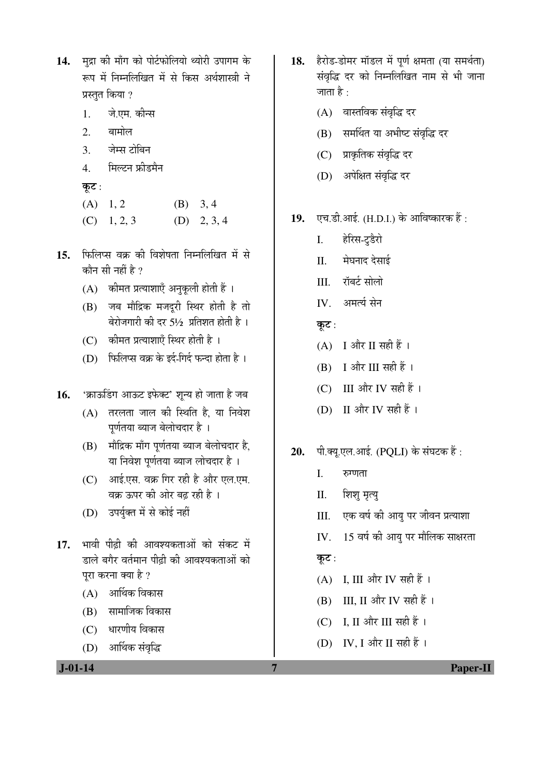| 14. मुद्रा की माँग को पोर्टफोलियो थ्योरी उपागम के |
|---------------------------------------------------|
| रूप में निम्नलिखित में से किस अर्थशास्त्री ने     |
| प्रस्तुत किया ?                                   |

- 1. जे.एम. कीन्स
- 2. बामोल
- 3. जेम्स टोबिन
- 4. मिल्टन फ्रीडमैन
- कूट $:$
- $(A)$  1, 2 (B) 3, 4
- $(C)$  1, 2, 3  $(D)$  2, 3, 4
- 15. फिलिप्स वक्र की विशेषता निम्नलिखित में से कौन सी नहीं है  $\overline{v}$ 
	- $(A)$  कीमत प्रत्याशाएँ अनुकुली होती हैं।
	- (B) जब मौद्रिक मजदूरी स्थिर होती है तो बेरोजगारी की दर 5½ प्रतिशत होती है।
	- $(C)$  कीमत प्रत्याशाएँ स्थिर होती है)।
	- $(D)$  फिलिप्स वक्र के इर्द-गिर्द फन्दा होता है।
- 16. 'क्राऊडिंग आऊट इफेक्ट' शून्य हो जाता है जब
	- $(A)$  तरलता जाल की स्थिति है, या निवेश पूर्णतया ब्याज बेलोचदार है।
	- (B) मौद्रिक माँग पूर्णतया ब्याज बेलोचदार है, या निवेश पर्णतया ब्याज लोचदार है ।
	- (C) । आई.एस. वक्र गिर रही है और एल.एम. वक्र ऊपर की ओर बढ रही है ।
	- (D) उपर्युक्त में से कोई नहीं
- 17. भावी पीढी की आवश्यकताओं को संकट में डाले बगैर वर्तमान पीढी की आवश्यकताओं को परा करना क्या है ?
	- $(A)$  आर्थिक विकास
	- (B) सामाजिक विकास
	- (C) धारणीय विकास
	- (D) आर्थिक संवृद्धि
- 18. हैरोड-डोमर मॉडल में पूर्ण क्षमता (या समर्थता) संवृद्धि दर को निम्नलिखित नाम से भी जाना जाता है :
	- (A) वास्तविक संवृद्धि दर
	- (B) समर्थित या अभीष्ट संवृद्धि दर
	- (C) प्राकृतिक संवृद्धि दर
	- (D) अपेक्षित संवृद्धि दर
- 19. **[**एच.डी.आई. (H.D.I.) के आविष्कारक हैं :
	- I. हेरिस-टडैरो
	- II. मेघनाद देसाई
	- III. ॉबर्ट सोलो
	- IV. अमर्त्य सेन
	- कूट :
	- $(A)$  I और II सही हैं।
	- $(B)$  I और III सही हैं।
	- (C) III और IV सही हैं।
	- (D) II और IV सही हैं।
- 20. पी.क्यू.एल.आई. (POLI) के संघटक हैं:
	- $I.$   $\bar{\mathrm{v}}$ <sub>v</sub> $\bar{\mathrm{v}}$
	- II. शिशु मृत्यु
	- III. एक वर्ष की आयु पर जीवन प्रत्याशा
	- IV. 15 वर्ष की आयु पर मौलिक साक्षरता

कूट :

- (A) I, III और IV सही हैं।
- $(B)$  III, II और IV सही हैं।
- (C) I, II और III सही हैं।
- (D) IV, I और II सही हैं।

 **J-01-14 7 Paper-II**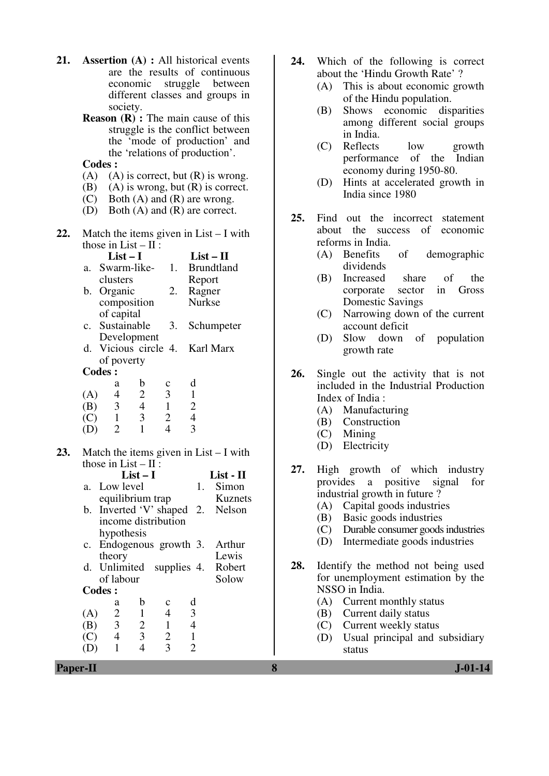- **21. Assertion (A) :** All historical events are the results of continuous economic struggle between different classes and groups in society.
	- **Reason (R) :** The main cause of this struggle is the conflict between the 'mode of production' and the 'relations of production'.
	- **Codes :**
	- (A) (A) is correct, but  $(R)$  is wrong.
	- (B) (A) is wrong, but  $(R)$  is correct.
	- (C) Both (A) and (R) are wrong.
	- (D) Both (A) and (R) are correct.
- **22.** Match the items given in List I with those in List  $-$  II :

| $List-I$                       |    | $List-II$         |
|--------------------------------|----|-------------------|
| a. Swarm-like-                 | 1. | <b>Brundtland</b> |
| clusters                       |    | Report            |
| b. Organic                     | 2. | Ragner            |
| composition                    |    | <b>Nurkse</b>     |
| of capital                     |    |                   |
| c. Sustainable                 | 3. | Schumpeter        |
| Development                    |    |                   |
| d. Vicious circle 4. Karl Marx |    |                   |
| of poverty                     |    |                   |
| Codes:                         |    |                   |
|                                |    |                   |

|     | a | n | Ċ | α |
|-----|---|---|---|---|
| (A) | 4 | 2 | 3 |   |
| (B) | 3 |   |   | 2 |
| (C) |   | 3 | 2 | 4 |
| (D) |   |   |   |   |

**23.** Match the items given in List – I with those in  $List - II$ :

|             |                          | $List-I$                |                |                | List - II                        |
|-------------|--------------------------|-------------------------|----------------|----------------|----------------------------------|
|             | a. Low level             |                         |                | 1.             | Simon                            |
|             | equilibrium trap         |                         |                |                | Kuznets                          |
|             |                          |                         |                |                | b. Inverted 'V' shaped 2. Nelson |
|             | income distribution      |                         |                |                |                                  |
|             | hypothesis               |                         |                |                |                                  |
| $c_{\cdot}$ | Endogenous growth 3.     |                         |                |                | Arthur                           |
|             | theory                   |                         |                |                | Lewis                            |
|             | d. Unlimited supplies 4. |                         |                |                | Robert                           |
|             | of labour                |                         |                |                | Solow                            |
|             | <b>Codes:</b>            |                         |                |                |                                  |
|             | a                        | b                       | c              | d              |                                  |
| (A)         | 2                        | $\mathbf{1}$            | $\overline{4}$ | 3              |                                  |
| (B)         | $\overline{3}$           | $\overline{2}$          | $\mathbf{1}$   | $\overline{4}$ |                                  |
| (C)         | $\overline{4}$           | $\overline{\mathbf{3}}$ | $\overline{2}$ | $\mathbf{1}$   |                                  |
|             | 1                        |                         | 3              | 2              |                                  |

- **24.** Which of the following is correct about the 'Hindu Growth Rate' ?
	- (A) This is about economic growth of the Hindu population.
	- (B) Shows economic disparities among different social groups in India.
	- (C) Reflects low growth performance of the Indian economy during 1950-80.
	- (D) Hints at accelerated growth in India since 1980
- **25.** Find out the incorrect statement about the success of economic reforms in India.
	- (A) Benefits of demographic dividends
	- (B) Increased share of the corporate sector in Gross Domestic Savings
	- (C) Narrowing down of the current account deficit
	- (D) Slow down of population growth rate
- **26.** Single out the activity that is not included in the Industrial Production Index of India :
	- (A) Manufacturing
	- (B) Construction
	- (C) Mining
	- (D) Electricity
- **27.** High growth of which industry provides a positive signal for industrial growth in future ?
	- (A) Capital goods industries<br>(B) Basic goods industries
	- Basic goods industries
	- (C) Durable consumer goods industries
	- (D) Intermediate goods industries
- **28.** Identify the method not being used for unemployment estimation by the NSSO in India.
	- (A) Current monthly status
	- (B) Current daily status
	- (C) Current weekly status
	- (D) Usual principal and subsidiary status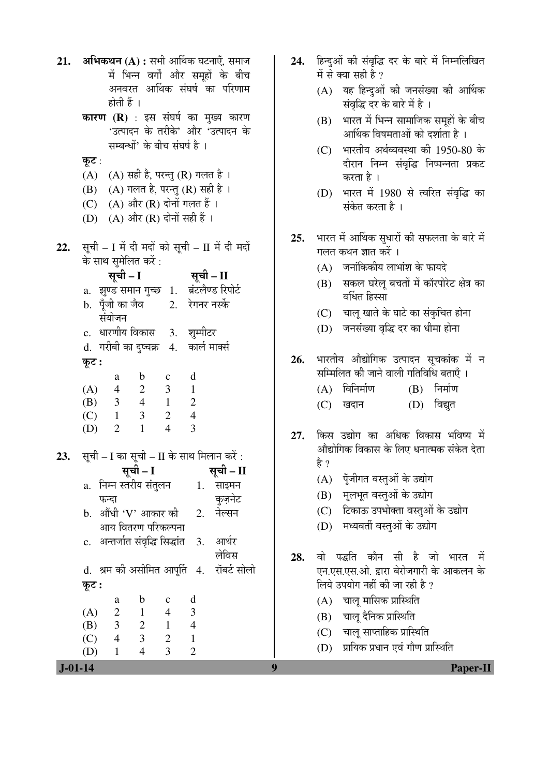| 21.           | <b>अभिकथन (A) :</b> सभी आर्थिक घटनाएँ, समाज<br>में भिन्न वर्गों और समूहों के बीच                        | 24. | हिन्दुओं की संवृद्धि दर के बारे में निम्नलिखित<br>में से क्या सही है ? |
|---------------|---------------------------------------------------------------------------------------------------------|-----|------------------------------------------------------------------------|
|               | अनवरत आर्थिक संघर्ष का परिणाम                                                                           |     | (A) यह हिन्दुओं की जनसंख्या की आर्थिक                                  |
|               | होती हैं ।                                                                                              |     | संवृद्धि दर के बारे में है ।                                           |
|               | <b>कारण (R)</b> : इस संघर्ष का मुख्य कारण                                                               |     | भारत में भिन्न सामाजिक समूहों के बीच<br>(B)                            |
|               | 'उत्पादन के तरीके' और 'उत्पादन के                                                                       |     | आर्थिक विषमताओं को दर्शाता है ।                                        |
|               | सम्बन्धों' के बीच संघर्ष है ।                                                                           |     | भारतीय अर्थव्यवस्था की 1950-80 के<br>(C)                               |
|               | कूट :<br>(A) सही है, परन्तु (R) गलत है ।<br>(A)                                                         |     | दौरान निम्न संवृद्धि निष्पन्नता प्रकट                                  |
|               | (A) गलत है, परन्तु (R) सही है ।<br>(B)                                                                  |     | करता है ।                                                              |
|               | (A) और (R) दोनों गलत हैं ।<br>(C)                                                                       |     | (D) भारत में 1980 से त्वरित संवृद्धि का<br>संकेत करता है ।             |
|               | $(A)$ और $(R)$ दोनों सही हैं।<br>(D)                                                                    |     |                                                                        |
|               |                                                                                                         | 25. | भारत में आर्थिक सुधारों की सफलता के बारे में                           |
| 22.           | सूची - I में दी मदों को सूची - II में दी मदों                                                           |     | गलत कथन ज्ञात करें ।                                                   |
|               | के साथ सुमेलित करें :                                                                                   |     | (A) जनांकिकीय लाभांश के फायदे                                          |
|               | सूची – I सूची – II                                                                                      |     | सकल घरेलू बचतों में कॉरपोरेट क्षेत्र का<br>(B)                         |
|               | a. झुण्ड समान गुच्छ 1. ब्रंटलैण्ड रिपोर्ट<br>b. पूँजी का जैव 2. रेगनर नर्स्के                           |     | वर्धित हिस्सा                                                          |
|               | संयोजन                                                                                                  |     | चालू खाते के घाटे का संकुचित होना<br>(C)                               |
|               | c. धारणीय विकास 3. शुम्पीटर                                                                             |     | जनसंख्या वृद्धि दर का धीमा होना<br>(D)                                 |
|               | कार्ल मार्क्स<br>d.  गरीबी का दुष्चक्र   4.                                                             |     |                                                                        |
|               | कूट :                                                                                                   | 26. | भारतीय औद्योगिक उत्पादन सूचकांक में न                                  |
|               | d<br>$\mathbf b$<br>$\mathbf{C}$<br>a                                                                   |     | सम्मिलित की जाने वाली गतिविधि बताएँ ।                                  |
|               | (A) $\begin{array}{cccc} 4 & 2 & 3 & 1 \\ (B) & 3 & 4 & 1 & 2 \end{array}$                              |     | $(A)$ विनिर्माण<br>निर्माण<br>(B)                                      |
|               | $2\quad 4$<br>$\overline{\mathbf{3}}$<br>$(C)$ 1                                                        |     | (D) विद्युत<br>(C)<br>खदान                                             |
|               | $\overline{4}$<br>$\overline{3}$<br>$\mathbf{1}$<br>(D)<br>2                                            | 27. | किस उद्योग का अधिक विकास भविष्य में                                    |
|               |                                                                                                         |     | औद्योगिक विकास के लिए धनात्मक संकेत देता                               |
|               | 23. सूची – I का सूची – II के साथ मिलान करें :                                                           |     | है ?                                                                   |
|               | सूची – I<br>सूची - II<br>निम्न स्तरीय संतुलन                                                            |     | (A) पूँजीगत वस्तुओं के उद्योग                                          |
|               | साइमन<br>1.<br>a.<br>कुज़नेट<br>फन्दा                                                                   |     | मूलभूत वस्तुओं के उद्योग<br>(B)                                        |
|               | b. औंधी 'V' आकार की<br>नेल्सन<br>2.                                                                     |     | टिकाऊ उपभोक्ता वस्तुओं के उद्योग<br>(C)                                |
|               | आय वितरण परिकल्पना                                                                                      |     | मध्यवर्ती वस्तुओं के उद्योग<br>(D)                                     |
|               | c.  अन्तर्जात संवृद्धि सिद्धांत<br>आर्थर<br>3.                                                          |     |                                                                        |
|               | लेविस                                                                                                   | 28. | वो पद्धति कौन सी है जो<br>में<br>भारत                                  |
|               | d. श्रम को असीमित आपूर्ति 4.<br>रॉबर्ट सोलो                                                             |     | एन.एस.एस.ओ. द्वारा बेरोजगारी के आकलन के                                |
|               | कूट :                                                                                                   |     | लिये उपयोग नहीं की जा रही है ?                                         |
|               | $\mathbf b$<br>d<br>$\mathbf c$<br>a<br>3<br>(A)<br>$\overline{c}$<br>$\blacksquare$<br>$4\overline{ }$ |     | चालू मासिक प्रास्थिति<br>(A)                                           |
|               | $2 \t1 \t4$<br>$\overline{\mathbf{3}}$<br>(B)                                                           |     | (B) चालू दैनिक प्रास्थिति                                              |
|               | $\overline{\mathbf{3}}$<br>$\overline{4}$<br>$2 \quad 1$<br>(C)                                         |     | (C) चालू साप्ताहिक प्रास्थिति<br>प्रायिक प्रधान एवं गौण प्रास्थिति     |
|               | $\overline{3}$<br>$\overline{2}$<br>$\overline{4}$<br>(D)<br>1                                          |     | (D)                                                                    |
| $I - 01 - 14$ |                                                                                                         | q   | Paner-I                                                                |

Paper-II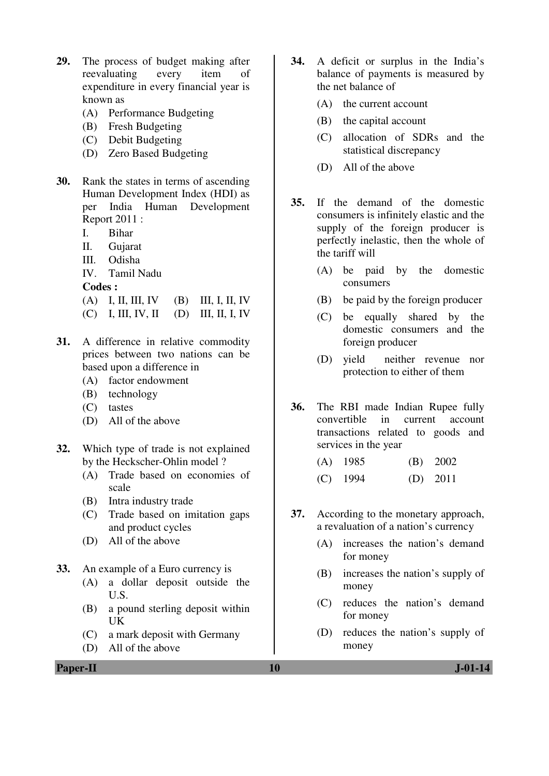- **29.** The process of budget making after reevaluating every item of expenditure in every financial year is known as
	- (A) Performance Budgeting
	- (B) Fresh Budgeting
	- (C) Debit Budgeting
	- (D) Zero Based Budgeting
- **30.** Rank the states in terms of ascending Human Development Index (HDI) as per India Human Development Report 2011 :
	- I. Bihar
	- II. Gujarat
	- III. Odisha
	- IV. Tamil Nadu

**Codes :** 

- (A) I, II, III, IV (B) III, I, II, IV
- (C) I, III, IV, II (D) III, II, I, IV
- **31.** A difference in relative commodity prices between two nations can be based upon a difference in
	- (A) factor endowment
	- (B) technology
	- (C) tastes
	- (D) All of the above
- **32.** Which type of trade is not explained by the Heckscher-Ohlin model ?
	- (A) Trade based on economies of scale
	- (B) Intra industry trade
	- (C) Trade based on imitation gaps and product cycles
	- (D) All of the above
- **33.** An example of a Euro currency is
	- (A) a dollar deposit outside the U.S.
	- (B) a pound sterling deposit within UK
	- (C) a mark deposit with Germany
	- (D) All of the above
- **34.** A deficit or surplus in the India's balance of payments is measured by the net balance of
	- (A) the current account
	- (B) the capital account
	- (C) allocation of SDRs and the statistical discrepancy
	- (D) All of the above
- **35.** If the demand of the domestic consumers is infinitely elastic and the supply of the foreign producer is perfectly inelastic, then the whole of the tariff will
	- (A) be paid by the domestic consumers
	- (B) be paid by the foreign producer
	- (C) be equally shared by the domestic consumers and the foreign producer
	- (D) yield neither revenue nor protection to either of them
- **36.** The RBI made Indian Rupee fully convertible in current account transactions related to goods and services in the year
	- (A) 1985 (B) 2002 (C) 1994 (D) 2011
- **37.** According to the monetary approach, a revaluation of a nation's currency
	- (A) increases the nation's demand for money
	- (B) increases the nation's supply of money
	- (C) reduces the nation's demand for money
	- (D) reduces the nation's supply of money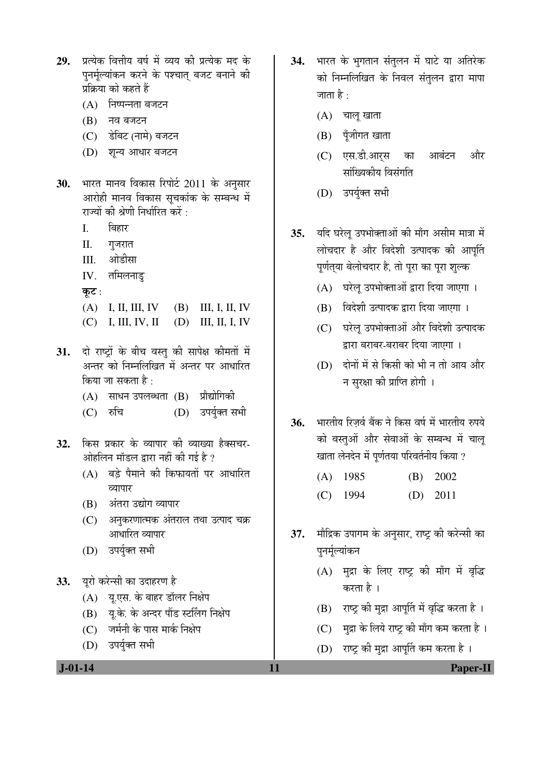- 29. प्रत्येक वित्तीय वर्ष में व्यय की प्रत्येक मद के पुनर्मूल्यांकन करने के पश्चात् बजट बनाने की प्रक्रिया को कहते हैं
	- $(A)$  निष्पन्नता बजटन
	- $(B)$  नव बजटन
	- (C) डेबिट (नामे) बजटन
	- (D) शन्य आधार बजटन
- 30. भारत मानव विकास रिपोर्ट 2011 के अनुसार आरोही मानव विकास सूचकांक के सम्बन्ध में राज्यों की श्रेणी निर्धारित करें :
	- I. बिहार
	- II. गुजरात
	- $III.$   $\;$  औडीसा
	- $IV.$  तमिलनाडु
	- कुट $:$

 (A) I, II, III, IV (B) III, I, II, IV (C) I, III, IV, II (D) III, II, I, IV

- 31. दो राष्ट्रों के बीच वस्तु की सापेक्ष कीमतों में अन्तर को निम्नलिखित में अन्तर पर आधारित किया जा सकता है $\cdot$ 
	- (A) साधन उपलब्धता (B) प्रौद्योगिकी
	- (C) रुचि (D) उपर्युक्त सभी
- 32. किस प्रकार के व्यापार की व्याख्या हैक्सचर-<u>ओहलिन मॉडल द्वारा नहीं की गई है ?</u>
	- (A) बड़े पैमाने की किफायतों पर आधारित व्यापार
	- (B) अंतरा उद्योग व्यापार
	- (C) अनुकरणात्मक अंतराल तथा उत्पाद चक्र आधारित व्यापार
	- (D) उपर्युक्त सभी
- 33. यूरो करेन्सी का उदाहरण है
	- (A) यू.एस. के बाहर डॉलर निक्षेप
	- (B) य.के. के अन्दर पोंड स्टर्लिंग निक्षेप
	- (C) जर्मनी के पास मार्क निक्षेप
	- (D) उपर्युक्त सभी

34. भारत के भुगतान संतुलन में घाटे या अतिरेक को निम्नलिखित के निवल संतुलन द्वारा मापा जाता है :

- $(A)$  चालू खाता
- $(B)$  पूँजीगत खाता
- (C) एस.डी.आर्**स का आबंटन औ**र सांख्यिकीय विसंगति
- (D) उपर्युक्त सभी
- 35. यदि घरेल् उपभोक्ताओं की माँग असीम मात्रा में लोचदार है और विदेशी उत्पादक की आपूर्ति पूर्णत्**या बेलोचदार है, तो पूरा का पूरा** शुल्क
	- (A) घरेल् उपभोक्ताओं द्वारा दिया जाएगा ।
	- (B) विदेशी उत्पादक द्वारा दिया जाएगा ।
	- (C) घरेल उपभोक्ताओं और विदेशी उत्पादक द्वारा बराबर-बराबर दिया जाएगा ।
	- (D) दोनों में से किसी को भी न तो आय और न सुरक्षा की प्राप्ति होगी ।
- 36. भारतीय रिजर्व बैंक ने किस वर्ष में भारतीय रुपये को वस्तओं और सेवाओं के सम्बन्ध में चाल खाता लेनदेन में पूर्णतया परिवर्तनीय किया ?
	- (A) 1985 (B) 2002 (C) 1994 (D) 2011
- 37. मौद्रिक उपागम के अनुसार, राष्ट्र की करेन्सी का पनर्मल्यांकन
	- $(A)$  मुद्रा के लिए राष्ट्र की माँग में वृद्धि करता है ।
	- (B) राष्ट्र की मुद्रा आपूर्ति में वृद्धि करता है।
	- $(C)$  मुद्रा के लिये राष्ट्र की माँग कम करता है।
	- (D) राष्ट्र की मुद्रा आपूर्ति कम करता है ।

 **J-01-14 11 Paper-II**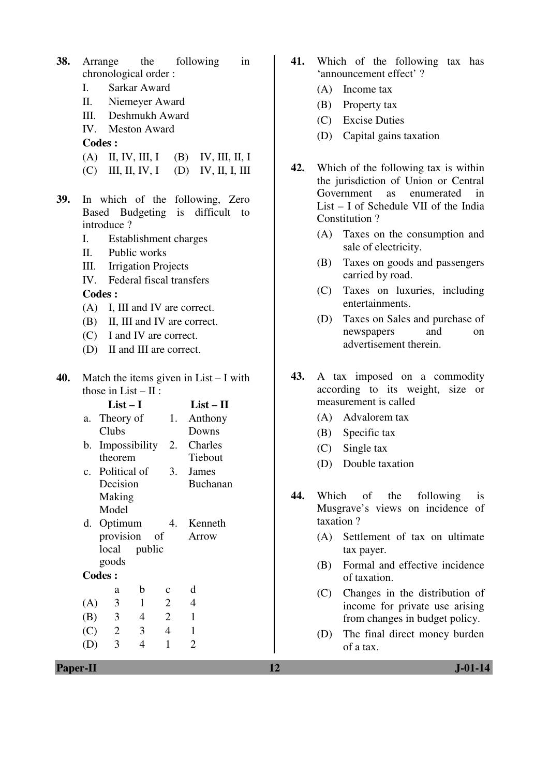| 38. |                              | Arrange the following                    |    |                 | in |  |  |
|-----|------------------------------|------------------------------------------|----|-----------------|----|--|--|
|     | chronological order:         |                                          |    |                 |    |  |  |
|     | Sarkar Award<br>$\mathbf{L}$ |                                          |    |                 |    |  |  |
|     | II. Niemeyer Award           |                                          |    |                 |    |  |  |
|     | III. Deshmukh Award          |                                          |    |                 |    |  |  |
|     | IV. Meston Award             |                                          |    |                 |    |  |  |
|     |                              | <b>Codes:</b>                            |    |                 |    |  |  |
|     |                              | (A) II, IV, III, I (B) IV, III, II, I    |    |                 |    |  |  |
|     |                              | $(C)$ III, II, IV, I (D) IV, II, I, III  |    |                 |    |  |  |
| 39. |                              | In which of the following, Zero          |    |                 |    |  |  |
|     |                              | Based Budgeting is difficult to          |    |                 |    |  |  |
|     |                              | introduce?                               |    |                 |    |  |  |
|     | I.                           | Establishment charges                    |    |                 |    |  |  |
|     | II.                          | Public works                             |    |                 |    |  |  |
|     |                              | III. Irrigation Projects                 |    |                 |    |  |  |
|     |                              | IV. Federal fiscal transfers             |    |                 |    |  |  |
|     |                              | <b>Codes:</b>                            |    |                 |    |  |  |
|     |                              | (A) I, III and IV are correct.           |    |                 |    |  |  |
|     |                              | (B) II, III and IV are correct.          |    |                 |    |  |  |
|     |                              | (C) I and IV are correct.                |    |                 |    |  |  |
|     |                              | (D) II and III are correct.              |    |                 |    |  |  |
| 40. |                              | Match the items given in $List - I$ with |    |                 |    |  |  |
|     |                              | those in $List - II$ :                   |    |                 |    |  |  |
|     |                              | $List-I$                                 |    | $List - II$     |    |  |  |
|     |                              | a. Theory of                             |    | 1. Anthony      |    |  |  |
|     |                              | Clubs                                    |    | Downs           |    |  |  |
|     |                              | b. Impossibility 2. Charles              |    |                 |    |  |  |
|     |                              | theorem                                  |    | Tiebout         |    |  |  |
|     |                              | c. Political of                          | 3. | James           |    |  |  |
|     |                              | Decision                                 |    | <b>Buchanan</b> |    |  |  |
|     |                              | Making                                   |    |                 |    |  |  |
|     |                              | Model                                    |    |                 |    |  |  |
|     |                              | d. Optimum                               | 4. | Kenneth         |    |  |  |
|     |                              | provision<br>of                          |    | Arrow           |    |  |  |
|     |                              | local<br>public                          |    |                 |    |  |  |
|     |                              | goods                                    |    |                 |    |  |  |
|     |                              | <b>Codes:</b>                            |    |                 |    |  |  |

 a b c d (A) 3 1 2 4 (B) 3 4 2 1  $(C)$  2 3 4 1 (D) 3 4 1 2

- **41.** Which of the following tax has 'announcement effect' ?
	- (A) Income tax
	- (B) Property tax
	- (C) Excise Duties
	- (D) Capital gains taxation
- **42.** Which of the following tax is within the jurisdiction of Union or Central Government as enumerated in List – I of Schedule VII of the India Constitution ?
	- (A) Taxes on the consumption and sale of electricity.
	- (B) Taxes on goods and passengers carried by road.
	- (C) Taxes on luxuries, including entertainments.
	- (D) Taxes on Sales and purchase of newspapers and on advertisement therein.
- **43.** A tax imposed on a commodity according to its weight, size or measurement is called
	- (A) Advalorem tax
	- (B) Specific tax
	- (C) Single tax
	- (D) Double taxation
- **44.** Which of the following is Musgrave's views on incidence of taxation ?
	- (A) Settlement of tax on ultimate tax payer.
	- (B) Formal and effective incidence of taxation.
	- (C) Changes in the distribution of income for private use arising from changes in budget policy.
	- (D) The final direct money burden of a tax.

**Paper-II 12 J-01-14**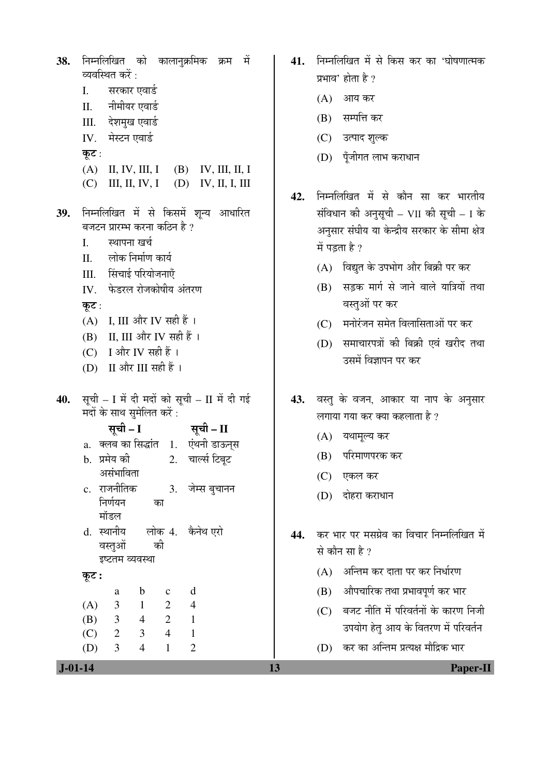निम्नलिखित को कालानक्रमिक क्रम में 38. व्यवस्थित करें : सरकार एवार्ड  $\mathbf{L}$ नीमीयर एवार्ड  $II.$ देशमुख एवार्ड III. मेस्टन एवार्ड IV. कूट :  $(A)$  II, IV, III, I  $(B)$  IV, III, II, I  $(C)$  III, II, IV, I  $(D)$  IV, II, I, III निम्नलिखित में से किसमें शून्य आधारित 39. बजटन प्रारम्भ करना कठिन है ?  $\mathbf{I}$ . स्थापना खर्च लोक निर्माण कार्य  $\Pi$ . III. सिंचाई परियोजनाएँ IV फेडरल रोजकोषीय अंतरण कूट : (A) I, III और IV सही हैं। (B) II, III और IV सही हैं । (C) I और IV सही हैं। (D) II और III सही हैं। सूची - I में दी मदों को सूची - II में दी गई 40. मदों के साथ सुमेलित करें : सूची - I सूची – II a. क्लब का सिद्धांत 1. एंथनी डाऊन्स b. प्रमेय की  $2.$ चार्ल्स टिबुट असंभाविता c. राजनीतिक 3. जेम्स बचानन निर्णयन का मॉडल d. स्थानीय लोक 4. कैनेथ एरो वस्तओं को इष्टतम व्यवस्था कूट :  $\mathbf b$  $\mathbf{c}$  $\mathbf d$ a 3  $\overline{2}$  $\overline{4}$  $(A)$  $\mathbf{1}$  $(B)$  $\overline{3}$  $\overline{2}$  $\overline{4}$  $\mathbf{1}$ 2 3  $\overline{4}$  $(C)$  $\mathbf{1}$  $(D)$ 3  $\overline{4}$  $\mathbf{1}$  $\overline{2}$ 

41. निम्नलिखित में से किस कर का 'घोषणात्मक प्रभाव' होता है ?

- (A) आय कर
- (B) सम्पत्ति कर
- (C) उत्पाद शुल्क
- (D) पूँजीगत लाभ कराधान
- निम्नलिखित में से कौन सा कर भारतीय 42. संविधान की अनुसूची - VII की सूची - I के अनसार संघीय या केन्द्रीय सरकार के सीमा क्षेत्र में पडता है ?
	- (A) विद्युत के उपभोग और बिक्री पर कर
	- (B) सड़क मार्ग से जाने वाले यात्रियों तथा वस्तुओं पर कर
	- (C) मनोरंजन समेत विलासिताओं पर कर
	- (D) समाचारपत्रों की बिक्री एवं खरीद तथा उसमें विज्ञापन पर कर
- 43. वस्तु के वजन, आकार या नाप के अनुसार लगाया गया कर क्या कहलाता है ?
	- (A) यथामूल्य कर
	- (B) परिमाणपरक कर
	- $(C)$  एकल कर

13

- (D) दोहरा कराधान
- कर भार पर मसग्रेव का विचार निम्नलिखित में 44. से कौन सा है ?
	- (A) अन्तिम कर दाता पर कर निर्धारण
	- (B) औपचारिक तथा प्रभावपूर्ण कर भार
	- (C) बजट नीति में परिवर्तनों के कारण निजी उपयोग हेतु आय के वितरण में परिवर्तन
	- (D) कर का अन्तिम प्रत्यक्ष मौद्रिक भार

 $J - 01 - 14$ 

Paper-II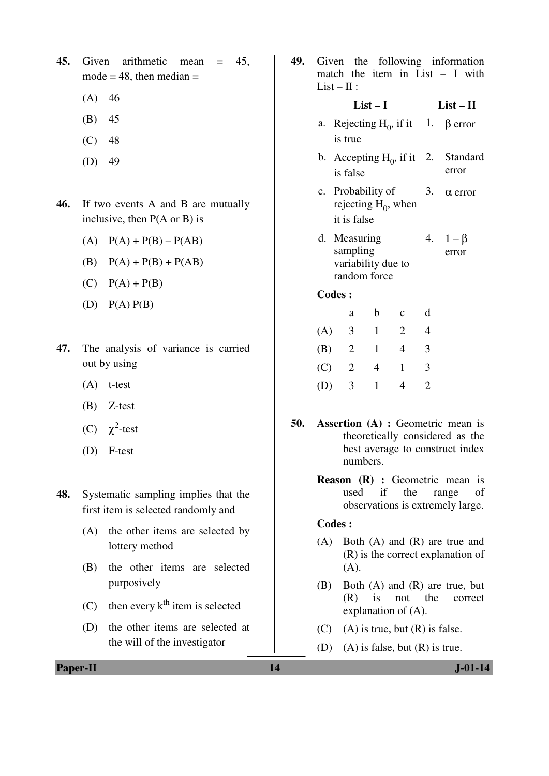**45.** Given arithmetic mean = 45, mode  $= 48$ , then median  $=$ 

- $(A)$  46
- (B) 45
- $(C) 48$
- (D) 49
- **46.** If two events A and B are mutually inclusive, then P(A or B) is
	- $(A)$   $P(A) + P(B) P(AB)$
	- (B)  $P(A) + P(B) + P(AB)$
	- $(C)$   $P(A) + P(B)$
	- $(D)$   $P(A)$   $P(B)$
- **47.** The analysis of variance is carried out by using
	- (A) t-test
	- (B) Z-test
- (C)  $\chi^2$ -test
	- (D) F-test
- **48.** Systematic sampling implies that the first item is selected randomly and
	- (A) the other items are selected by lottery method
	- (B) the other items are selected purposively
	- (C) then every  $k<sup>th</sup>$  item is selected
	- (D) the other items are selected at the will of the investigator

**49.** Given the following information match the item in List – I with  $List - II:$ 

#### **List – I List – II**

- a. Rejecting  $H_0$ , if it is true 1. β error
- b. Accepting  $H_0$ , if it is false **Standard** error
- c. Probability of rejecting  $H_0$ , when it is false 3.  $\alpha$  error
- d. Measuring sampling variability due to random force 4.  $1 - \beta$ error

**Codes :** 

|     | a | b | $\mathbf c$ |   |
|-----|---|---|-------------|---|
| (A) | 3 |   | 2           |   |
| (B) | 2 | 1 | 4           | 3 |
| (C) | 2 | 4 |             | 3 |
| (D) | 3 | ı | 4           | 2 |

- **50. Assertion (A) :** Geometric mean is theoretically considered as the best average to construct index numbers.
	- **Reason (R) :** Geometric mean is used if the range of observations is extremely large.

# **Codes :**

- (A) Both (A) and (R) are true and (R) is the correct explanation of (A).
- (B) Both (A) and (R) are true, but (R) is not the correct explanation of (A).
- $(C)$  (A) is true, but  $(R)$  is false.
- (D) (A) is false, but  $(R)$  is true.

**Paper-II** J-01-14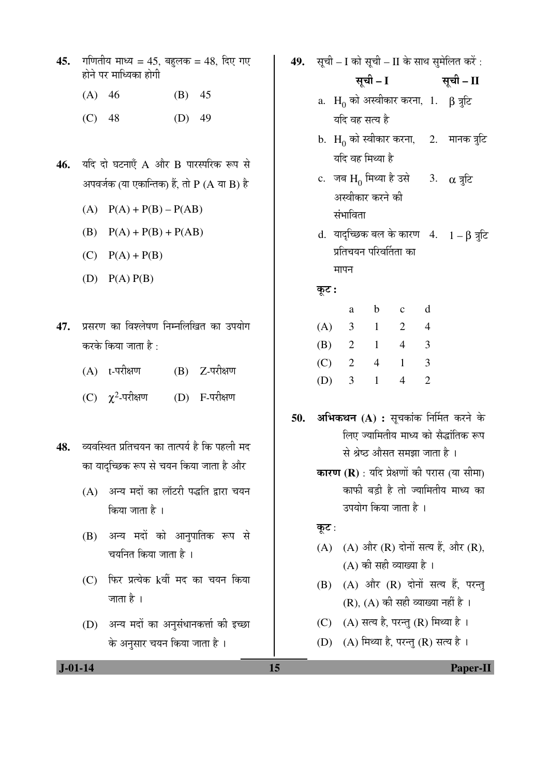- **45.** गणितीय माध्य = 45, बहलक = 48, दिए गए होने पर माध्यिका होगी
	- (A) 46 (B) 45
	- (C) 48 (D) 49
- 46. यदि दो घटनाएँ A और B पारस्परिक रूप से आपवर्जक (या एकान्तिक) हैं, तो  $P(A \cap B)$  है
	- (A)  $P(A) + P(B) P(AB)$
	- (B)  $P(A) + P(B) + P(AB)$
	- $(C)$   $P(A) + P(B)$
	- $(D)$   $P(A)$   $P(B)$
- 47. प्रसरण का विश्लेषण निम्नलिखित का उपयोग करके किया जाता है :
	- $(A)$  t-परीक्षण  $(B)$  Z-परीक्षण
- (C)  $\chi^2$ (D) F-परीक्षण
- 48. व्यवस्थित प्रतिचयन का तात्पर्य है कि पहली मद का यादच्छिक रूप से चयन किया जाता है और
	- (A) अन्य मदों का लॉटरी पद्धति द्वारा चयन किया जाता है ।
	- (B) अन्य मदों को आनुपातिक रूप से चयनित किया जाता है ।
	- (C) फिर प्रत्येक kवीं मद का चयन किया जाता है ।
	- (D) अन्य मदों का अनुसंधानकर्त्ता की इच्छा के अनुसार चयन किया जाता है ।
- 49. सृची I को सृची II के साथ सुमेलित करें:
	- सूची I सूची II
	- a.  $\, {\rm H}_{0} \,$ को अस्वीकार करना,  $\,$  1.  $\,$   $\,$   $\,$   $\rm J}$  त्रुटि यदि वह सत्य है
	- $\rm b.~H_0$  को स्वीकार करना, यदि वह मिथ्या है 2. मानक त्रूटि
	- c. जब  $\mathrm{H}_{0}$  मिथ्या है उसे अस्वीकार करने की संभाविता 3.  $\alpha$   $\bar{a}$
	- d. यादृच्छिक बल के कारण  $4.$   $1 \beta$  त्रुटि प्रतिचयन परिवर्तिता का मापन

# कूट :

|     | a | b | $\mathbf c$ | d |
|-----|---|---|-------------|---|
| (A) | 3 |   | 2           |   |
| (B) | 2 |   | 4           | 3 |
| (C) | 2 | 4 |             | 3 |
| (D) | 3 |   |             |   |

- 50. अभिकथन (A) : सुचकांक निर्मित करने के लिए ज्यामितीय माध्य को सैद्धांतिक रूप से श्रेष्ठ औसत समझा जाता है ।
	- **कारण (R)** : यदि प्रेक्षणों की परास (या सीमा) काफी बडी है तो ज्यामितीय माध्य का उपयोग किया जाता है ।

### कूट :

- $(A)$   $(A)$  और  $(R)$  दोनों सत्य हैं, और  $(R)$ ,  $(A)$  की सही व्याख्या है।
- $(B)$   $(A)$  और  $(R)$  दोनों सत्य हैं, परन्तु  $(R)$ ,  $(A)$  की सही व्याख्या नहीं है।
- (C)  $(A)$  सत्य है, परन्तु (R) मिथ्या है।
- (D) (A) मिथ्या है, परन्तु (R) सत्य है।

 **J-01-14 15 Paper-II**